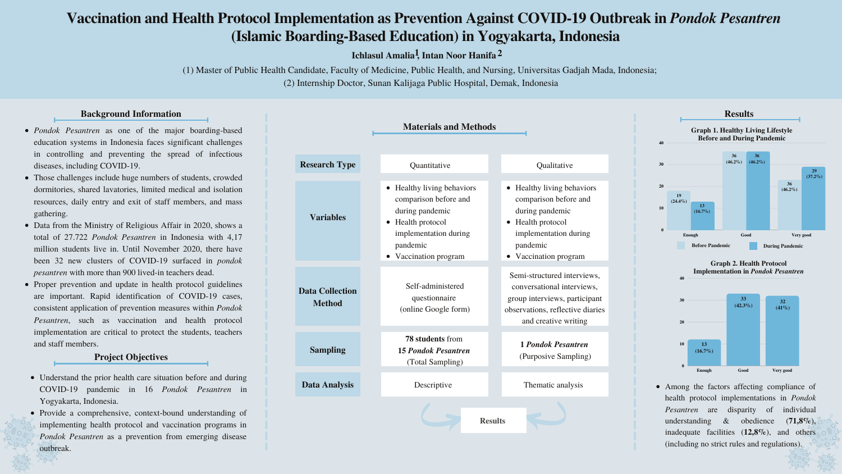

• Healthy living behaviors comparison before and during pandemic • Health protocol implementation during pandemic • Vaccination program

> **1** *Pondok Pesantren* (Purposive Sampling)

Thematic analysis

Semi-structured interviews, conversational interviews, group interviews, participant observations, reflective diaries and creative writing

### **Background Information**

# **Vaccination and Health Protocol Implementation as Prevention Against COVID-19 Outbreak in** *Pondok Pesantren* **(Islamic Boarding-Based Education) in Yogyakarta, Indonesia**

(1) Master of Public Health Candidate, Faculty of Medicine, Public Health, and Nursing, Universitas Gadjah Mada, Indonesia; (2) Internship Doctor, Sunan Kalijaga Public Hospital, Demak, Indonesia

- *Pondok Pesantren* as one of the major boarding-based education systems in Indonesia faces significant challenges in controlling and preventing the spread of infectious diseases, including COVID-19.
- Those challenges include huge numbers of students, crowded dormitories, shared lavatories, limited medical and isolation resources, daily entry and exit of staff members, and mass gathering.
- Data from the Ministry of Religious Affair in 2020, shows a total of 27.722 *Pondok Pesantren* in Indonesia with 4,17 million students live in. Until November 2020, there have been 32 new clusters of COVID-19 surfaced in *pondok pesantren* with more than 900 lived-in teachers dead.
- Proper prevention and update in health protocol guidelines are important. Rapid identification of COVID-19 cases, consistent application of prevention measures within *Pondok Pesantren*, such as vaccination and health protocol implementation are critical to protect the students, teachers and staff members.



# **Ichlasul Amalia , Intan Noor Hanifa 1 2**



### **Project Objectives**

- Understand the prior health care situation before and during COVID-19 pandemic in 16 *Pondok Pesantren* in Yogyakarta, Indonesia.
- Provide a comprehensive, context-bound understanding of implementing health protocol and vaccination programs in *Pondok Pesantren* as a prevention from emerging disease outbreak.

**40**



Among the factors affecting compliance of health protocol implementations in *Pondok Pesantren* are disparity of individual understanding & obedience (**71,8%**), inadequate facilities (**12,8%**), and others (including no strict rules and regulations).

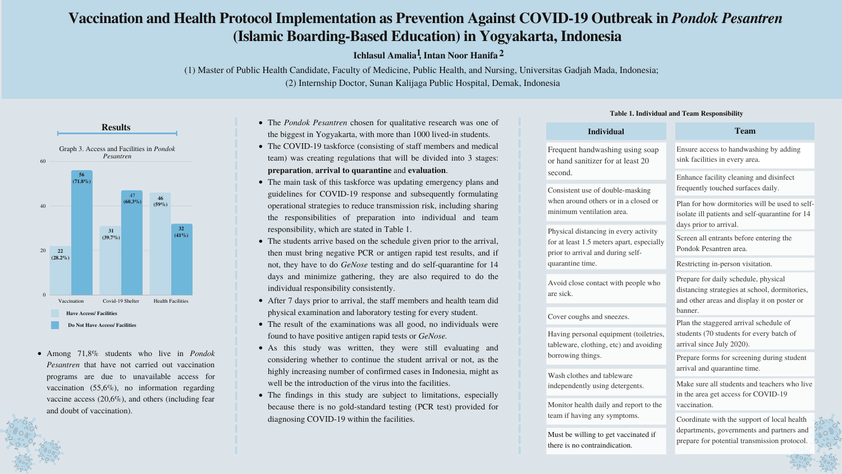# **Vaccination and Health Protocol Implementation as Prevention Against COVID-19 Outbreak in** *Pondok Pesantren* **(Islamic Boarding-Based Education) in Yogyakarta, Indonesia**

(1) Master of Public Health Candidate, Faculty of Medicine, Public Health, and Nursing, Universitas Gadjah Mada, Indonesia; (2) Internship Doctor, Sunan Kalijaga Public Hospital, Demak, Indonesia

**Ichlasul Amalia , Intan Noor Hanifa 1 2**

Among 71,8% students who live in *Pondok Pesantren* that have not carried out vaccination programs are due to unavailable access for vaccination (55,6%), no information regarding vaccine access (20,6%), and others (including fear and doubt of vaccination).

- The *Pondok Pesantren* chosen for qualitative research was one of the biggest in Yogyakarta, with more than 1000 lived-in students.
- The COVID-19 taskforce (consisting of staff members and medical team) was creating regulations that will be divided into 3 stages: **preparation**, **arrival to quarantine** and **evaluation**.
- The main task of this taskforce was updating emergency plans and guidelines for COVID-19 response and subsequently formulating operational strategies to reduce transmission risk, including sharing the responsibilities of preparation into individual and team responsibility, which are stated in Table 1.
- The students arrive based on the schedule given prior to the arrival, then must bring negative PCR or antigen rapid test results, and if not, they have to do *GeNose* testing and do self-quarantine for 14 days and minimize gathering, they are also required to do the individual responsibility consistently.
- After 7 days prior to arrival, the staff members and health team did physical examination and laboratory testing for every student.
- The result of the examinations was all good, no individuals were found to have positive antigen rapid tests or *GeNose.*
- As this study was written, they were still evaluating and considering whether to continue the student arrival or not, as the highly increasing number of confirmed cases in Indonesia, might as well be the introduction of the virus into the facilities.
- The findings in this study are subject to limitations, especially because there is no gold-standard testing (PCR test) provided for diagnosing COVID-19 within the facilities.



| <b>Individual</b>                                                                                                                                                                        | <b>Team</b>                                                                                                                              |
|------------------------------------------------------------------------------------------------------------------------------------------------------------------------------------------|------------------------------------------------------------------------------------------------------------------------------------------|
| Frequent handwashing using soap<br>or hand sanitizer for at least 20<br>second.<br>Consistent use of double-masking<br>when around others or in a closed or<br>minimum ventilation area. | Ensure access to handwashing by adding<br>sink facilities in every area.                                                                 |
|                                                                                                                                                                                          | Enhance facility cleaning and disinfect<br>frequently touched surfaces daily.                                                            |
|                                                                                                                                                                                          | Plan for how dormitories will be used to self-<br>isolate ill patients and self-quarantine for 14<br>days prior to arrival.              |
| Physical distancing in every activity<br>for at least 1.5 meters apart, especially<br>prior to arrival and during self-<br>quarantine time.                                              | Screen all entrants before entering the<br>Pondok Pesantren area.                                                                        |
|                                                                                                                                                                                          | Restricting in-person visitation.                                                                                                        |
| Avoid close contact with people who<br>are sick.                                                                                                                                         | Prepare for daily schedule, physical<br>distancing strategies at school, dormitories,<br>and other areas and display it on poster or     |
| Cover coughs and sneezes.                                                                                                                                                                | banner.<br>Plan the staggered arrival schedule of<br>students (70 students for every batch of<br>arrival since July 2020).               |
| Having personal equipment (toiletries,<br>tableware, clothing, etc) and avoiding<br>borrowing things.                                                                                    |                                                                                                                                          |
|                                                                                                                                                                                          | Prepare forms for screening during student<br>arrival and quarantine time.                                                               |
| Wash clothes and tableware<br>independently using detergents.                                                                                                                            | Make sure all students and teachers who live<br>in the area get access for COVID-19<br>vaccination.                                      |
| Monitor health daily and report to the                                                                                                                                                   |                                                                                                                                          |
| team if having any symptoms.<br>Must be willing to get vaccinated if                                                                                                                     | Coordinate with the support of local health<br>departments, governments and partners and<br>prepare for potential transmission protocol. |

there is no contraindication.

#### **Table 1. Individual and Team Responsibility**